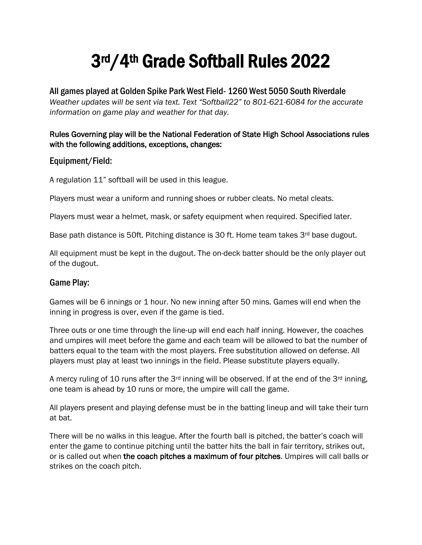# 3rd/4th Grade Softball Rules 2022

All games played at Golden Spike Park West Field- 1260 West 5050 South Riverdale *Weather updates will be sent via text. Text "Softball22" to 801-621-6084 for the accurate information on game play and weather for that day.* 

### Rules Governing play will be the National Federation of State High School Associations rules with the following additions, exceptions, changes:

## Equipment/Field:

A regulation 11" softball will be used in this league.

Players must wear a uniform and running shoes or rubber cleats. No metal cleats.

Players must wear a helmet, mask, or safety equipment when required. Specified later.

Base path distance is 50ft. Pitching distance is 30 ft. Home team takes 3<sup>rd</sup> base dugout.

All equipment must be kept in the dugout. The on-deck batter should be the only player out of the dugout.

#### Game Play:

Games will be 6 innings or 1 hour. No new inning after 50 mins. Games will end when the inning in progress is over, even if the game is tied.

Three outs or one time through the line-up will end each half inning. However, the coaches and umpires will meet before the game and each team will be allowed to bat the number of batters equal to the team with the most players. Free substitution allowed on defense. All players must play at least two innings in the field. Please substitute players equally.

A mercy ruling of 10 runs after the 3<sup>rd</sup> inning will be observed. If at the end of the 3<sup>rd</sup> inning, one team is ahead by 10 runs or more, the umpire will call the game.

All players present and playing defense must be in the batting lineup and will take their turn at bat.

There will be no walks in this league. After the fourth ball is pitched, the batter's coach will enter the game to continue pitching until the batter hits the ball in fair territory, strikes out, or is called out when the coach pitches a maximum of four pitches. Umpires will call balls or strikes on the coach pitch.